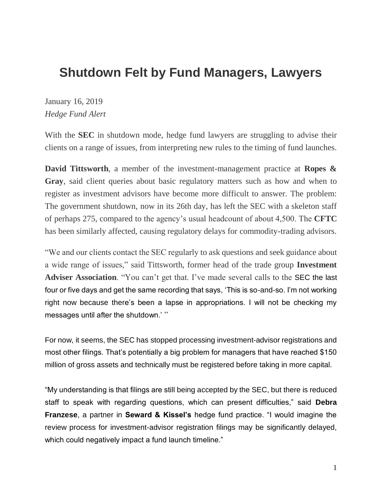## **Shutdown Felt by Fund Managers, Lawyers**

January 16, 2019 *Hedge Fund Alert*

With the **SEC** in shutdown mode, hedge fund lawyers are struggling to advise their clients on a range of issues, from interpreting new rules to the timing of fund launches.

**David Tittsworth**, a member of the investment-management practice at **Ropes & Gray**, said client queries about basic regulatory matters such as how and when to register as investment advisors have become more difficult to answer. The problem: The government shutdown, now in its 26th day, has left the SEC with a skeleton staff of perhaps 275, compared to the agency's usual headcount of about 4,500. The **CFTC** has been similarly affected, causing regulatory delays for commodity-trading advisors.

"We and our clients contact the SEC regularly to ask questions and seek guidance about a wide range of issues," said Tittsworth, former head of the trade group **Investment Adviser Association**. "You can't get that. I've made several calls to the SEC the last four or five days and get the same recording that says, 'This is so-and-so. I'm not working right now because there's been a lapse in appropriations. I will not be checking my messages until after the shutdown.'"

For now, it seems, the SEC has stopped processing investment-advisor registrations and most other filings. That's potentially a big problem for managers that have reached \$150 million of gross assets and technically must be registered before taking in more capital.

"My understanding is that filings are still being accepted by the SEC, but there is reduced staff to speak with regarding questions, which can present difficulties," said **Debra Franzese**, a partner in **Seward & Kissel's** hedge fund practice. "I would imagine the review process for investment-advisor registration filings may be significantly delayed, which could negatively impact a fund launch timeline."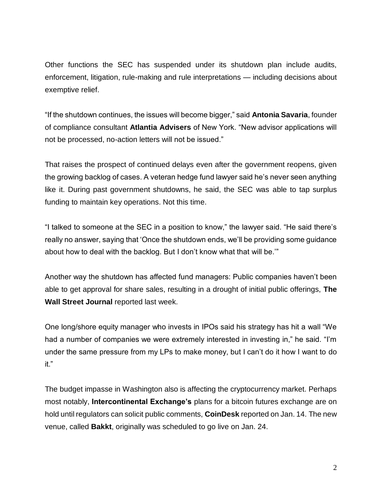Other functions the SEC has suspended under its shutdown plan include audits, enforcement, litigation, rule-making and rule interpretations — including decisions about exemptive relief.

"If the shutdown continues, the issues will become bigger," said **Antonia Savaria**, founder of compliance consultant **Atlantia Advisers** of New York. "New advisor applications will not be processed, no-action letters will not be issued."

That raises the prospect of continued delays even after the government reopens, given the growing backlog of cases. A veteran hedge fund lawyer said he's never seen anything like it. During past government shutdowns, he said, the SEC was able to tap surplus funding to maintain key operations. Not this time.

"I talked to someone at the SEC in a position to know," the lawyer said. "He said there's really no answer, saying that 'Once the shutdown ends, we'll be providing some guidance about how to deal with the backlog. But I don't know what that will be.'"

Another way the shutdown has affected fund managers: Public companies haven't been able to get approval for share sales, resulting in a drought of initial public offerings, **The Wall Street Journal** reported last week.

One long/shore equity manager who invests in IPOs said his strategy has hit a wall "We had a number of companies we were extremely interested in investing in," he said. "I'm under the same pressure from my LPs to make money, but I can't do it how I want to do it."

The budget impasse in Washington also is affecting the cryptocurrency market. Perhaps most notably, **Intercontinental Exchange's** plans for a bitcoin futures exchange are on hold until regulators can solicit public comments, **CoinDesk** reported on Jan. 14. The new venue, called **Bakkt**, originally was scheduled to go live on Jan. 24.